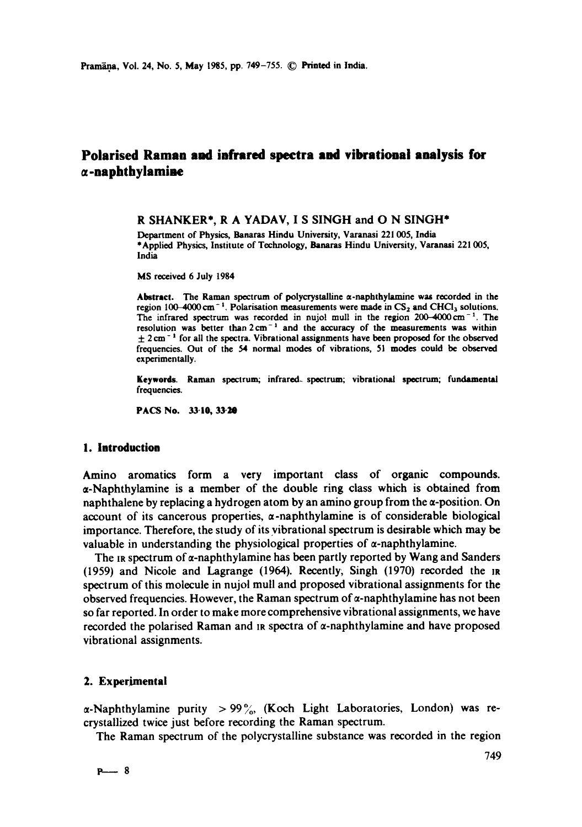# **Polarised Raman and infrared spectra and vibrational analysis for ~,-naphthylamiae**

## R SHANKER\*, R A YADAV, I S SINGH and O N SINGH\*

Department of Physics, Banaras Hindu University, Varanasi 221 005, India \*Applied Physics, Institute of Technology, Banaras Hindu University, Varanasi 221 005, India

MS received 6 July 1984

Abstract. The Raman spectrum of polycrystalline  $\alpha$ -naphthylamine was recorded in the region  $100-4000$  cm<sup>-1</sup>. Polarisation measurements were made in  $CS_2$  and CHCl<sub>3</sub> solutions. The infrared spectrum was recorded in nujol mull in the region  $200-4000 \text{ cm}^{-1}$ . The resolution was better than 2 cm<sup>-1</sup> and the accuracy of the measurements was within  $\pm$  2 cm<sup>-1</sup> for all the spectra. Vibrational assignments have been proposed for the observed frequencies. Out of the 54 normal modes of vibrations, 51 modes could be observed experimentally.

Keywords. Raman spectrum; infrared. spectrum; vibrational spectrum; fundamental frequencies.

**PACS No. 33'10, 33"20** 

## **1. Introduction**

Amino aromatics form a very important class of organic compounds.  $\alpha$ -Naphthylamine is a member of the double ring class which is obtained from naphthalene by replacing a hydrogen atom by an amino group from the  $\alpha$ -position. On account of its cancerous properties,  $\alpha$ -naphthylamine is of considerable biological importance. Therefore, the study of its vibrational spectrum is desirable which may be valuable in understanding the physiological properties of  $\alpha$ -naphthylamine.

The is spectrum of  $\alpha$ -naphthylamine has been partly reported by Wang and Sanders (1959) and Nicole and Lagrange (1964). Recently, Singh (1970) recorded the m spectrum of this molecule in nujol mull and proposed vibrational assignments for the observed frequencies. However, the Raman spectrum of  $\alpha$ -naphthylamine has not been so far reported. In order to make more comprehensive vibrational assignments, we have recorded the polarised Raman and  $\alpha$  spectra of  $\alpha$ -naphthylamine and have proposed vibrational assignments.

#### 2. Experimental

 $\alpha$ -Naphthylamine purity > 99% (Koch Light Laboratories, London) was recrystallized twice just before recording the Raman spectrum.

The Raman spectrum of the polycrystalline substance was recorded in the region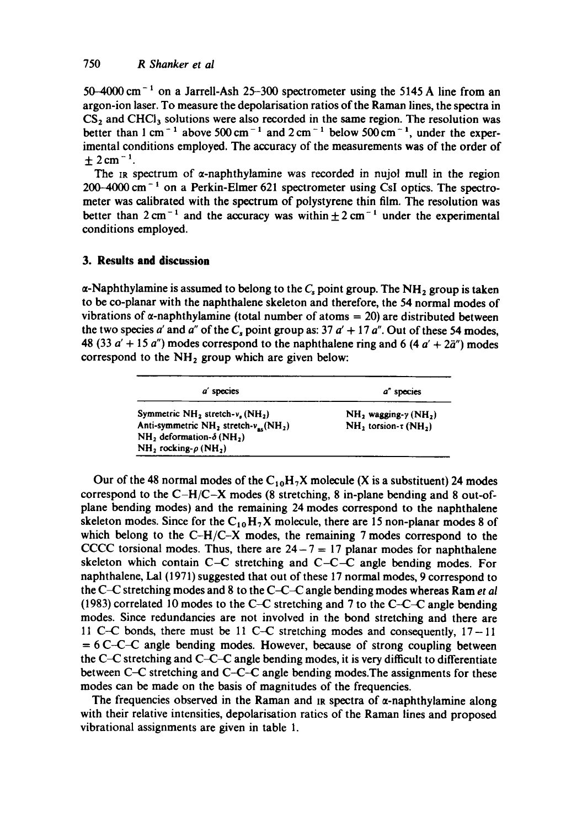50-4000 cm<sup>-1</sup> on a Jarrell-Ash 25-300 spectrometer using the 5145 Å line from an argon-ion laser. To measure the depolarisation ratios of the Raman lines, the spectra in  $CS<sub>2</sub>$  and CHCl<sub>3</sub> solutions were also recorded in the same region. The resolution was better than 1 cm<sup>-1</sup> above 500 cm<sup>-1</sup> and 2 cm<sup>-1</sup> below 500 cm<sup>-1</sup>, under the experimental conditions employed. The accuracy of the measurements was of the order of  $\pm 2$  cm<sup>-1</sup>.

The  $\pi$  spectrum of  $\alpha$ -naphthylamine was recorded in nujol mull in the region  $200-4000$  cm<sup> $-1$ </sup> on a Perkin-Elmer 621 spectrometer using CsI optics. The spectrometer was calibrated with the spectrum of polystyrene thin film. The resolution was better than  $2 \text{ cm}^{-1}$  and the accuracy was within  $\pm 2 \text{ cm}^{-1}$  under the experimental conditions employed.

## **3. Results and discussion**

 $\alpha$ -Naphthylamine is assumed to belong to the  $C_s$  point group. The NH<sub>2</sub> group is taken to be co-planar with the naphthalene skeleton and therefore, the 54 normal modes of vibrations of  $\alpha$ -naphthylamine (total number of atoms = 20) are distributed between the two species a' and a'' of the  $C_s$  point group as: 37  $a' + 17 a''$ . Out of these 54 modes, 48 (33  $a' + 15 a''$ ) modes correspond to the naphthalene ring and 6 (4  $a' + 2a''$ ) modes correspond to the  $NH<sub>2</sub>$  group which are given below:

| a' species                                                 | a" species                                   |
|------------------------------------------------------------|----------------------------------------------|
| Symmetric $NH_2$ , stretch-v, $(NH_2)$                     | $NH2$ wagging- $\gamma$ (NH <sub>2</sub> )   |
| Anti-symmetric $NH_2$ stretch- $v_{av}$ (NH <sub>2</sub> ) | NH <sub>2</sub> torsion-t (NH <sub>2</sub> ) |
| NH, deformation- $\delta$ (NH,)                            |                                              |
| $NH_2$ rocking- $\rho$ (NH <sub>2</sub> )                  |                                              |

Our of the 48 normal modes of the  $C_{10}H_7X$  molecule (X is a substituent) 24 modes correspond to the  $C-H/C-X$  modes (8 stretching, 8 in-plane bending and 8 out-ofplane bending modes) and the remaining 24 modes correspond to the naphthalene skeleton modes. Since for the  $C_{10}H_{7}X$  molecule, there are 15 non-planar modes 8 of which belong to the C-H/C-X modes, the remaining 7 modes correspond to the CCCC torsional modes. Thus, there are  $24-7 = 17$  planar modes for naphthalene skeleton which contain C-C stretching and C-C-C angle bending modes. For naphthalene, Lal (1971) suggested that out of these 17 normal modes, 9 correspond to the C-C stretching modes and 8 to the C-C-C angle bending modes whereas Ram *et al*  (1983) correlated 10 modes to the C-C stretching and 7 to the C-C-C angle bending modes. Since redundancies are not involved in the bond stretching and there are 11 C-C bonds, there must be 11 C-C stretching modes and consequently,  $17-11$  $= 6$  C-C-C angle bending modes. However, because of strong coupling between the C~C stretching and C-C-C angle bending modes, it is very difficult to differentiate between C-C stretching and C-C-C angle bending modes.The assignments for these modes can be made on the basis of magnitudes of the frequencies.

The frequencies observed in the Raman and IR spectra of  $\alpha$ -naphthylamine along with their relative intensities, depolarisation raties of the Raman lines and proposed vibrational assignments are given in table 1.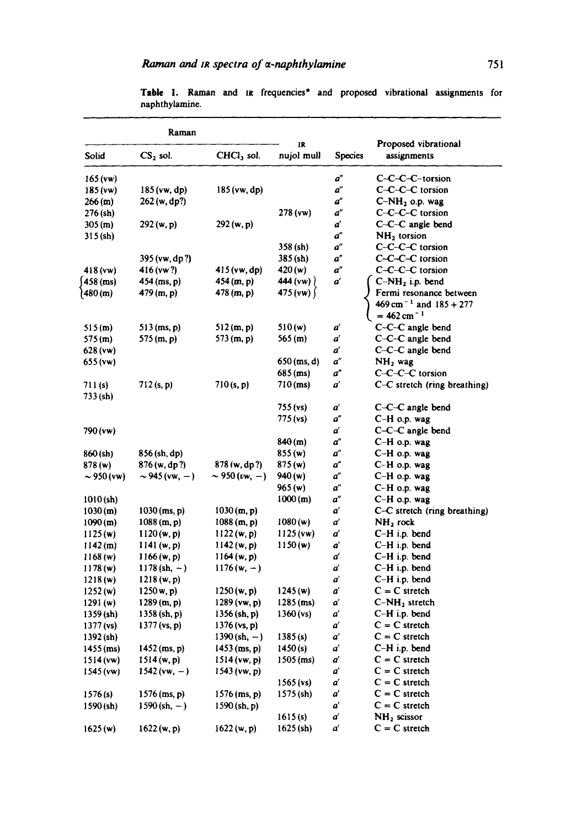| Raman               |                       |                    |                  |         |                                                                   |  |
|---------------------|-----------------------|--------------------|------------------|---------|-------------------------------------------------------------------|--|
| Solid               | $CS2$ sol.            | $CHCl3$ sol.       | IR<br>nujol mull | Species | Proposed vibrational<br>assignments                               |  |
| 165(ww)             |                       |                    |                  | ď       | C-C-C-C-torsion                                                   |  |
| 185 (vw)            | 185 (vw, dp)          | 185 (vw, dp)       |                  | ď       | C-C-C-C torsion                                                   |  |
| 266 (m)             | 262 (w, dp?)          |                    |                  | a"      | $C-NH_2$ o.p. wag                                                 |  |
| 276 (sh)            |                       |                    | 278 (vw)         | a"      | C-C-C-C torsion                                                   |  |
| 305(m)              | 292(w, p)             | 292(w, p)          |                  | ď       | C-C-C angle bend                                                  |  |
| 315 (sh)            |                       |                    |                  | ď       | $NH2$ torsion                                                     |  |
|                     |                       |                    | 358 (sh)         | ď       | C-C-C-C torsion                                                   |  |
|                     | 395 (vw, dp?)         |                    | 385 (sh)         | a"      | $C-C-C-C$ torsion                                                 |  |
| 418(vw)             | 416 (vw?)             | 415 (vw, dp)       | 420(w)           | ď       | C-C-C-C torsion                                                   |  |
| $458$ (ms)          | 454 (ms, p)           | 454(m, p)          | 444 (vw) $\}$    | ď       | $C-NH2$ i.p. bend                                                 |  |
| (480 (m             | 479 (m, p)            | 478(m, p)          | 475 (vw) $\int$  |         | Fermi resonance between                                           |  |
|                     |                       |                    |                  |         | $469 \text{ cm}^{-1}$ and $185 + 277$<br>$= 462$ cm <sup>-1</sup> |  |
| 515(m)              | $513$ (ms, p)         | 512(m, p)          | 510 (w)          | ď       | C-C-C angle bend                                                  |  |
| 575 (m)             | 575 (m, p)            | 573 $(m, p)$       | 565(m)           | ď       | C-C-C angle bend                                                  |  |
| 628 (vw)            |                       |                    |                  | ď       | C-C-C angle bend                                                  |  |
| 655 (vw)            |                       |                    | $650$ (ms, d)    | ď       | $NH2$ wag                                                         |  |
|                     |                       |                    | 685 (ms)         | ď       | C-C-C-C torsion                                                   |  |
| 711 (s)<br>733 (sh) | $712$ (s, p)          | 710(s, p)          | $710$ (ms)       | ď       | C-C stretch (ring breathing)                                      |  |
|                     |                       |                    | 755(ys)          | ď       | C-C-C angle bend                                                  |  |
|                     |                       |                    | 775 (vs)         | a"      | $C-H$ o.p. wag                                                    |  |
| $790$ (vw)          |                       |                    |                  | ď       | C-C-C angle bend                                                  |  |
|                     |                       |                    | 840(m)           | a"      | C-H o.p. wag                                                      |  |
| 860 (sh)            | 856 (sh, dp)          |                    | 855 (w)          | a"      | C-H o.p. wag                                                      |  |
| 878 (w)             | 876(w, dp?)           | 878 (w, dp?)       | 875(w)           | ď       | C-H o.p. wag                                                      |  |
| $\sim$ 950 (vw)     | $\sim$ 945 (vw, $-$ ) | $\sim$ 950 (vw, -) | 940 (w)          | ď       | $C-H$ o.p. wag                                                    |  |
|                     |                       |                    | 965(w)           | ď       | C-H o.p. wag                                                      |  |
| $1010$ (sh)         |                       |                    | 1000(m)          | a"      | C-H o.p. wag                                                      |  |
| 1030(m)             | $1030$ (ms, p)        | 1030(m, p)         |                  | ď       | C-C stretch (ring breathing)                                      |  |
| 1090(m)             | 1088(m, p)            | 1088(m, p)         | 1080(w)          | ď       | $NH2$ rock                                                        |  |
| 1125(w)             | 1120(w, p)            | 1122(w, p)         | 1125(ww)         | ď       | $C-H$ i.p. bend                                                   |  |
| 1142(m)             | 1141 (w, p)           | 1142(w, p)         | 1150(w)          | ď       | $C-H$ i.p. bend                                                   |  |
| 1168(w)             | 1166(w, p)            | 1164(w, p)         |                  | ď       | C-H i.p. bend                                                     |  |
| 1178(w)             | $1178$ (sh, -)        | $1176(w, -)$       |                  | ď       | C-H i.p. bend                                                     |  |
| 1218(w)             | 1218(w, p)            |                    |                  | ď       | $C-H$ i.p. bend                                                   |  |
| 1252(w)             | 1250 w, p             | 1250(w, p)         | 1245(w)          | ď       | $C = C$ stretch                                                   |  |
| 1291(w)             | 1289(m, p)            | $1289$ (vw, p)     | $1285$ (ms)      | ď       | $C-NH_2$ stretch                                                  |  |
| 1359 (sh)           | $1358$ (sh, p)        | 1356 (sh, p)       | $1360$ (vs)      | ď       | $C-H$ i.p. bend                                                   |  |
| 1377 (vs)           | $1377$ (vs, p)        | 1376 (vs, p)       |                  | ď       | $C = C$ stretch                                                   |  |
| $1392$ (sh)         |                       | $1390 (sh, -)$     | 1385(s)          | ď       | $C = C$ stretch                                                   |  |
| $1455$ (ms)         | $1452$ (ms, p)        | $1453$ (ms, p)     | 1450(s)          | ď       | C-H i.p. bend                                                     |  |
| $1514$ (vw)         | 1514(w, p)            | $1514$ (vw, p)     | $1505$ (ms)      | ď       | $C = C$ stretch                                                   |  |
| $1545$ (vw)         | $1542$ (vw, -)        | 1543 (vw, p)       |                  | ď       | $C = C$ stretch                                                   |  |
|                     |                       |                    | $1565$ (vs)      | ď       | $C = C$ stretch                                                   |  |
| 1576(s)             | $1576$ (ms, p)        | $1576$ (ms, p)     | $1575$ (sh)      | ď       | $C = C$ stretch                                                   |  |
| $1590$ (sh)         | $1590 (sh, -)$        | 1590 (sh, p)       |                  | ď       | $C = C$ stretch                                                   |  |
|                     |                       |                    | 1615(s)          | ď       | NH <sub>2</sub> scissor                                           |  |
| 1625(w)             | 1622(w, p)            | 1622(w, p)         | $1625$ (sh)      | ď       | $C = C$ stretch                                                   |  |
|                     |                       |                    |                  |         |                                                                   |  |

Table 1. Raman and in frequencies<sup>\*</sup> and proposed vibrational assignments for naphthylamine.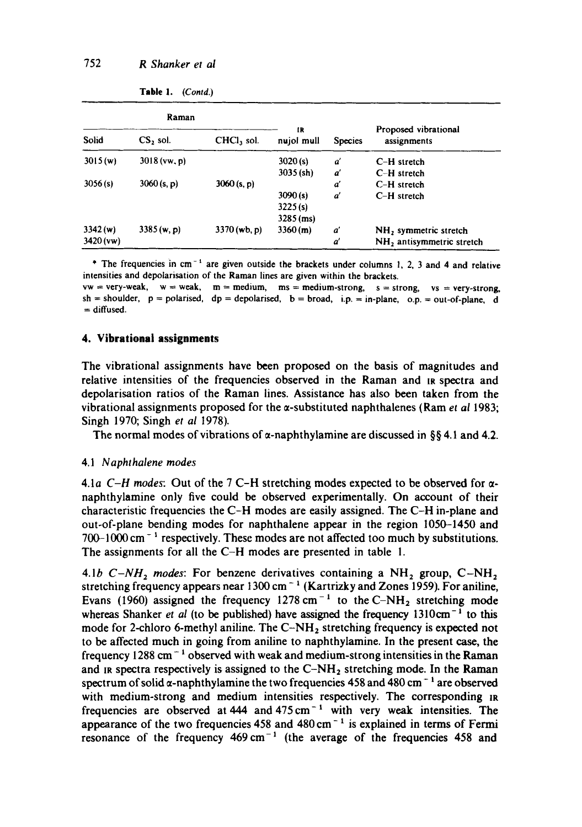| Raman                  |                |                |                  |                |                                     |
|------------------------|----------------|----------------|------------------|----------------|-------------------------------------|
| Solid                  | CS, sol.       | CHCl, sol.     | ſR<br>nujol mull | <b>Species</b> | Proposed vibrational<br>assignments |
| 3015(w)                | $3018$ (vw, p) |                | 3020(s)          | a'             | C-H stretch                         |
|                        |                |                | $3035$ (sh)      | ď              | $C-H$ stretch                       |
| 3056(s)<br>3060 (s, p) |                | 3060(s, p)     |                  | ď              | C-H stretch                         |
|                        |                |                | 3090(s)          | ď              | $C-H$ stretch                       |
|                        |                |                | 3225(s)          |                |                                     |
|                        |                | $3285$ (ms)    |                  |                |                                     |
| 3342(w)                | 3385(w, p)     | $3370$ (wb, p) | 3360(m)          | ď              | NH <sub>2</sub> symmetric stretch   |
| $3420$ (vw)            |                |                |                  | ď              | $NH2$ antisymmetric stretch         |

Table 1. *(Contd.)* 

\* The frequencies in  $cm^{-1}$  are given outside the brackets under columns 1, 2, 3 and 4 and relative intensities and depolarisation of the Raman lines are given within the brackets.

 $vw = very - weak, w = weak, m = medium, ms = medium-strong, s = strong, vs = very-strong,$  $sh =$ shoulder,  $p =$  polarised,  $dp =$  depolarised,  $b =$  broad, i.p. = in-plane, o.p. = out-of-plane, d  $=$  diffused.

### **4. Vibrational assignments**

The vibrational assignments have been proposed on the basis of magnitudes and relative intensities of the frequencies observed in the Raman and IR spectra and depolarisation ratios of the Raman lines. Assistance has also been taken from the vibrational assignments proposed for the a-substituted naphthalenes (Ram *et al* 1983; Singh 1970; Singh *et al* 1978).

The normal modes of vibrations of  $\alpha$ -naphthylamine are discussed in §§ 4.1 and 4.2.

#### 4.1 *Naphthalene modes*

4.1a  $C-H$  modes: Out of the 7 C-H stretching modes expected to be observed for  $\alpha$ naphthylamine only five could be observed experimentally. On account of their characteristic frequencies the C-H modes are easily assigned. The C-H in-plane and out-of-plane bending modes for naphthalene appear in the region 1050-1450 and  $700-1000$  cm<sup>-1</sup> respectively. These modes are not affected too much by substitutions. The assignments for all the C-H modes are presented in table I.

4.1b  $C-NH_2$  modes: For benzene derivatives containing a  $NH_2$  group,  $C-NH_2$ stretching frequency appears near 1300 cm<sup>-1</sup> (Kartrizky and Zones 1959). For aniline, Evans (1960) assigned the frequency  $1278 \text{ cm}^{-1}$  to the C-NH<sub>2</sub> stretching mode whereas Shanker *et al* (to be published) have assigned the frequency 1310cm<sup>-1</sup> to this mode for 2-chloro 6-methyl aniline. The  $C-NH<sub>2</sub>$  stretching frequency is expected not to be affected much in going from aniline to naphthylamine. In the present case, the frequency 1288 cm<sup> $-1$ </sup> observed with weak and medium-strong intensities in the Raman and in spectra respectively is assigned to the  $C-NH_2$  stretching mode. In the Raman spectrum of solid  $\alpha$ -naphthylamine the two frequencies 458 and 480 cm<sup>-1</sup> are observed with medium-strong and medium intensities respectively. The corresponding IR frequencies are observed at  $444$  and  $475 \text{ cm}^{-1}$  with very weak intensities. The appearance of the two frequencies 458 and  $480 \text{ cm}^{-1}$  is explained in terms of Fermi resonance of the frequency  $469 \text{ cm}^{-1}$  (the average of the frequencies 458 and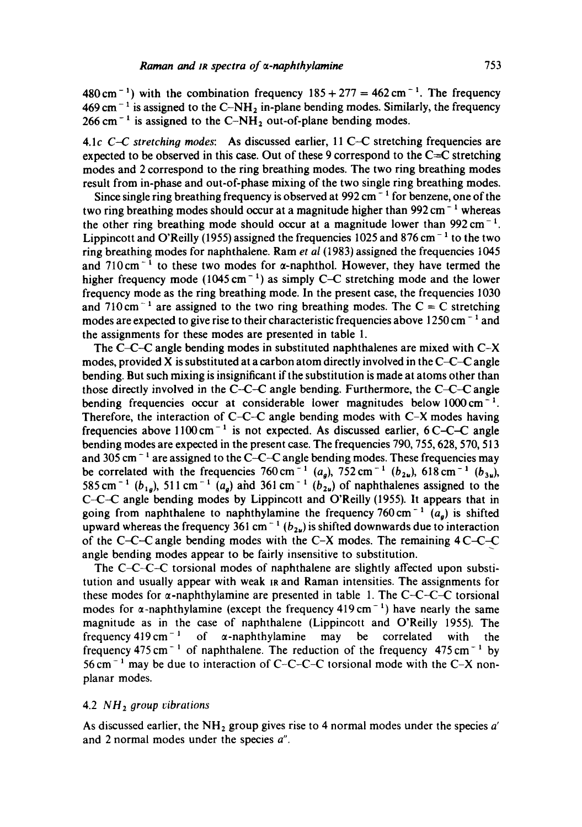$480 \text{ cm}^{-1}$ ) with the combination frequency  $185 + 277 = 462 \text{ cm}^{-1}$ . The frequency  $469 \text{ cm}^{-1}$  is assigned to the C-NH<sub>2</sub> in-plane bending modes. Similarly, the frequency  $266$  cm<sup>-1</sup> is assigned to the C-NH<sub>2</sub> out-of-plane bending modes.

4.1c *C-C stretching modes:* As discussed earlier, 11 C-C stretching frequencies are expected to be observed in this case. Out of these 9 correspond to the  $C=C$  stretching modes and 2 correspond to the ring breathing modes. The two ring breathing modes result from in-phase and out-of-phase mixing of the two single ring breathing modes.

Since single ring breathing frequency is observed at  $992 \text{ cm}^{-1}$  for benzene, one of the two ring breathing modes should occur at a magnitude higher than  $992 \text{ cm}^{-1}$  whereas the other ring breathing mode should occur at a magnitude lower than  $992 \text{ cm}^{-1}$ . Lippincott and O'Reilly (1955) assigned the frequencies 1025 and 876 cm<sup>-1</sup> to the two ring breathing modes for naphthalene. Ram *et al* (1983) assigned the frequencies 1045 and  $710 \text{ cm}^{-1}$  to these two modes for  $\alpha$ -naphthol. However, they have termed the higher frequency mode  $(1045 \text{ cm}^{-1})$  as simply C–C stretching mode and the lower frequency mode as the ring breathing mode. In the present case, the frequencies 1030 and 710 cm<sup>-1</sup> are assigned to the two ring breathing modes. The C = C stretching modes are expected to give rise to their characteristic frequencies above  $1250 \text{ cm}^{-1}$  and the assignments for these modes are presented in table 1.

The C-C-C angle bending modes in substituted naphthalenes are mixed with C-X modes, provided X is substituted at a carbon atom directly involved in the  $C-C-C$  angle bending. But such mixing is insignificant if the substitution is made at atoms other than those directly involved in the C-C-C angle bending. Furthermore, the C-C-C angle bending frequencies occur at considerable lower magnitudes below  $1000 \text{ cm}^{-1}$ . Therefore, the interaction of C-C-C angle bending modes with C-X modes having frequencies above  $1100 \text{ cm}^{-1}$  is not expected. As discussed earlier, 6 C-C-C angle bending modes are expected in the present case. The frequencies 790, 755, 628, 570, 513 and 305 cm<sup> $-1$ </sup> are assigned to the C-C-C angle bending modes. These frequencies may be correlated with the frequencies  $760 \text{ cm}^{-1}$  (a<sub>g</sub>),  $752 \text{ cm}^{-1}$  (b<sub>2u</sub>),  $618 \text{ cm}^{-1}$  (b<sub>3u</sub>), 585 cm<sup>-1</sup> (b<sub>1e</sub>), 511 cm<sup>-1</sup> (a<sub>g</sub>) and 361 cm<sup>-1</sup> (b<sub>2u</sub>) of naphthalenes assigned to the C-C-C angle bending modes by Lippincott and O'Reilly (1955). It appears that in going from naphthalene to naphthylamine the frequency  $760 \text{ cm}^{-1}$  (a<sub>g</sub>) is shifted upward whereas the frequency 361 cm<sup>-1</sup> ( $b_{2u}$ ) is shifted downwards due to interaction of the C-C-C angle bending modes with the C-X modes. The remaining  $4C-C-C$ angle bending modes appear to be fairly insensitive to substitution.

The C-C-C-C torsional modes of naphthalene are slightly affected upon substitution and usually appear with weak IR and Raman intensities. The assignments for these modes for  $\alpha$ -naphthylamine are presented in table 1. The C-C-C-C torsional modes for  $\alpha$ -naphthylamine (except the frequency 419 cm<sup>-1</sup>) have nearly the same magnitude as in the case of naphthalene (Lippincott and O'Reilly 1955). The frequency 419 cm<sup>-1</sup> of  $\alpha$ -naphthylamine may be correlated with the frequency  $475 \text{ cm}^{-1}$  of naphthalene. The reduction of the frequency  $475 \text{ cm}^{-1}$  by 56 cm<sup>-1</sup> may be due to interaction of C-C-C-C torsional mode with the C-X nonplanar modes.

## 4.2 *NH2 group cibrations*

As discussed earlier, the  $NH_2$  group gives rise to 4 normal modes under the species  $a'$ and 2 normal modes under the species *a".*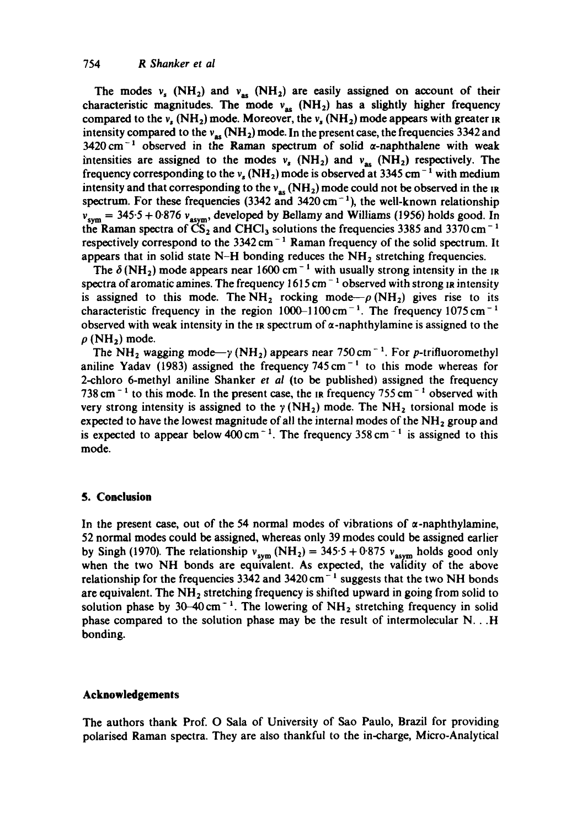## 754 *R Shanker et al*

The modes  $v_s$  (NH<sub>2</sub>) and  $v_{\text{as}}$  (NH<sub>2</sub>) are easily assigned on account of their characteristic magnitudes. The mode  $v_{as}$  (NH<sub>2</sub>) has a slightly higher frequency compared to the  $v_s$  (NH<sub>2</sub>) mode. Moreover, the  $v_s$  (NH<sub>2</sub>) mode appears with greater in intensity compared to the  $v_{\text{as}}$  (NH<sub>2</sub>) mode. In the present case, the frequencies 3342 and 3420 cm<sup>-1</sup> observed in the Raman spectrum of solid  $\alpha$ -naphthalene with weak intensities are assigned to the modes  $v_s$  (NH<sub>2</sub>) and  $v_{as}$  (NH<sub>2</sub>) respectively. The frequency corresponding to the  $v_s$  (NH<sub>2</sub>) mode is observed at 3345 cm<sup>-1</sup> with medium intensity and that corresponding to the  $v_{as}$  (NH<sub>2</sub>) mode could not be observed in the IR spectrum. For these frequencies (3342 and 3420 cm<sup>-1</sup>), the well-known relationship  $v_{sym} = 345.5 + 0.876 v_{asym}$ , developed by Bellamy and Williams (1956) holds good. In the Raman spectra of  $\overline{CS}_2$  and CHCl<sub>3</sub> solutions the frequencies 3385 and 3370 cm<sup>-1</sup> respectively correspond to the  $3342 \text{ cm}^{-1}$  Raman frequency of the solid spectrum. It appears that in solid state N-H bonding reduces the  $NH<sub>2</sub>$  stretching frequencies.

The  $\delta(NH_2)$  mode appears near 1600 cm<sup>-1</sup> with usually strong intensity in the IR spectra of aromatic amines. The frequency  $1615 \text{ cm}^{-1}$  observed with strong  $\mu$  intensity is assigned to this mode. The NH<sub>2</sub> rocking mode  $-\rho$  (NH<sub>2</sub>) gives rise to its characteristic frequency in the region  $1000-1100 \text{ cm}^{-1}$ . The frequency  $1075 \text{ cm}^{-1}$ observed with weak intensity in the  $\mu$  spectrum of  $\alpha$ -naphthylamine is assigned to the  $\rho$  (NH<sub>2</sub>) mode.

The NH<sub>2</sub> wagging mode  $-\gamma$  (NH<sub>2</sub>) appears near 750 cm<sup>-1</sup>. For p-trifluoromethyl aniline Yadav (1983) assigned the frequency  $745 \text{ cm}^{-1}$  to this mode whereas for 2-chloro 6-methyl aniline Shanker *et al* (to be published) assigned the frequency 738 cm<sup> $-1$ </sup> to this mode. In the present case, the IR frequency 755 cm<sup> $-1$ </sup> observed with very strong intensity is assigned to the  $\gamma$  (NH<sub>2</sub>) mode. The NH<sub>2</sub> torsional mode is expected to have the lowest magnitude of all the internal modes of the  $NH<sub>2</sub>$  group and is expected to appear below 400 cm<sup>-1</sup>. The frequency 358 cm<sup>-1</sup> is assigned to this mode.

## **5. Conclusion**

In the present case, out of the 54 normal modes of vibrations of  $\alpha$ -naphthylamine, 52 normal modes could be assigned, whereas only 39 modes could be assigned earlier by Singh (1970). The relationship  $v_{sym}$  (NH<sub>2</sub>) = 345.5 + 0.875  $v_{asym}$  holds good only when the two NH bonds are equivalent. As expected, the validity of the above relationship for the frequencies 3342 and 3420 cm<sup>-1</sup> suggests that the two NH bonds are equivalent. The  $NH<sub>2</sub>$  stretching frequency is shifted upward in going from solid to solution phase by 30-40 cm<sup>-1</sup>. The lowering of  $NH_2$  stretching frequency in solid phase compared to the solution phase may be the result of intermolecular N...H bonding.

#### **Acknowledgements**

The authors thank Prof. O Sala of University of Sao Paulo, Brazil for providing polarised gaman spectra. They are also thankful to the in-charge, Micro-Analytical